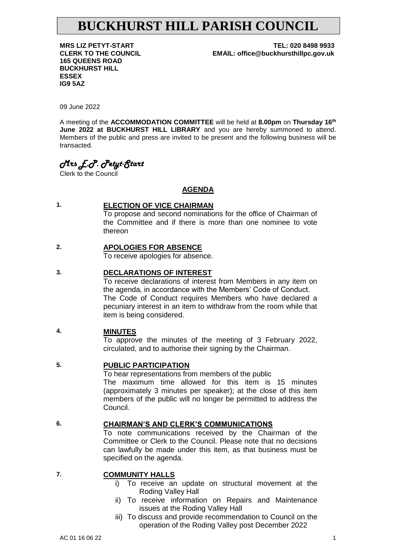# **BUCKHURST HILL PARISH COUNCIL**

**165 QUEENS ROAD BUCKHURST HILL ESSEX IG9 5AZ**

**MRS LIZ PETYT-START TEL: 020 8498 9933 CLERK TO THE COUNCIL EMAIL: office@buckhursthillpc.gov.uk**

09 June 2022

A meeting of the **ACCOMMODATION COMMITTEE** will be held at **8.00pm** on **Thursday 16th June 2022 at BUCKHURST HILL LIBRARY** and you are hereby summoned to attend. Members of the public and press are invited to be present and the following business will be transacted.

## *Mrs E.P. Petyt-Start*

Clerk to the Council

#### **AGENDA**

#### **1. ELECTION OF VICE CHAIRMAN**

To propose and second nominations for the office of Chairman of the Committee and if there is more than one nominee to vote thereon

#### **2. APOLOGIES FOR ABSENCE**

To receive apologies for absence.

#### **3. DECLARATIONS OF INTEREST**

To receive declarations of interest from Members in any item on the agenda, in accordance with the Members' Code of Conduct. The Code of Conduct requires Members who have declared a pecuniary interest in an item to withdraw from the room while that item is being considered.

#### **4. MINUTES**

To approve the minutes of the meeting of 3 February 2022, circulated, and to authorise their signing by the Chairman.

#### **5. PUBLIC PARTICIPATION**

To hear representations from members of the public The maximum time allowed for this item is 15 minutes (approximately 3 minutes per speaker); at the close of this item members of the public will no longer be permitted to address the Council.

#### **6. CHAIRMAN'S AND CLERK'S COMMUNICATIONS**

To note communications received by the Chairman of the Committee or Clerk to the Council. Please note that no decisions can lawfully be made under this item, as that business must be specified on the agenda.

#### **7. COMMUNITY HALLS**

- i) To receive an update on structural movement at the Roding Valley Hall
- ii) To receive information on Repairs and Maintenance issues at the Roding Valley Hall
- iii) To discuss and provide recommendation to Council on the operation of the Roding Valley post December 2022